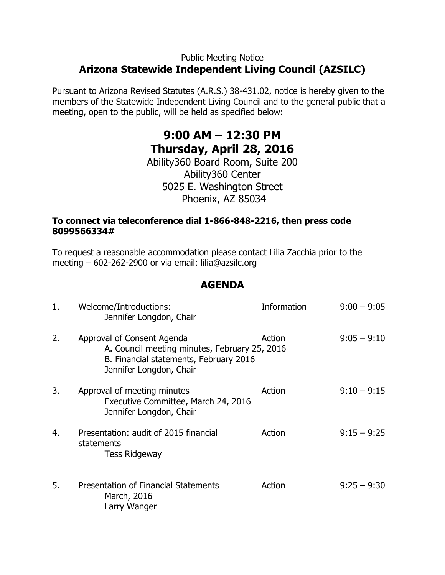## Public Meeting Notice **Arizona Statewide Independent Living Council (AZSILC)**

Pursuant to Arizona Revised Statutes (A.R.S.) 38-431.02, notice is hereby given to the members of the Statewide Independent Living Council and to the general public that a meeting, open to the public, will be held as specified below:

# **9:00 AM – 12:30 PM Thursday, April 28, 2016**

Ability360 Board Room, Suite 200 Ability360 Center 5025 E. Washington Street Phoenix, AZ 85034

### **To connect via teleconference dial 1-866-848-2216, then press code 8099566334#**

To request a reasonable accommodation please contact Lilia Zacchia prior to the meeting – 602-262-2900 or via email: lilia@azsilc.org

# **AGENDA**

| 1. | Welcome/Introductions:<br>Jennifer Longdon, Chair                                                                                                | <b>Information</b> | $9:00 - 9:05$ |
|----|--------------------------------------------------------------------------------------------------------------------------------------------------|--------------------|---------------|
| 2. | Approval of Consent Agenda<br>A. Council meeting minutes, February 25, 2016<br>B. Financial statements, February 2016<br>Jennifer Longdon, Chair | Action             | $9:05 - 9:10$ |
| 3. | Approval of meeting minutes<br>Executive Committee, March 24, 2016<br>Jennifer Longdon, Chair                                                    | Action             | $9:10 - 9:15$ |
| 4. | Presentation: audit of 2015 financial<br>statements<br><b>Tess Ridgeway</b>                                                                      | Action             | $9:15 - 9:25$ |
| 5. | <b>Presentation of Financial Statements</b><br>March, 2016<br>Larry Wanger                                                                       | Action             | $9:25 - 9:30$ |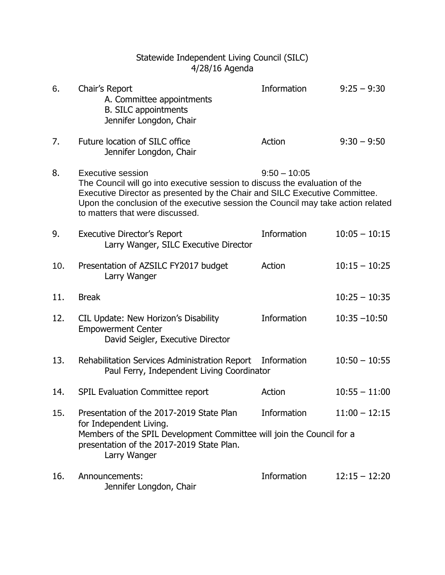### Statewide Independent Living Council (SILC) 4/28/16 Agenda

| 6.  | Chair's Report<br>A. Committee appointments<br><b>B. SILC appointments</b><br>Jennifer Longdon, Chair                                                                                                                                                                                                 | Information        | $9:25 - 9:30$   |
|-----|-------------------------------------------------------------------------------------------------------------------------------------------------------------------------------------------------------------------------------------------------------------------------------------------------------|--------------------|-----------------|
| 7.  | Future location of SILC office<br>Jennifer Longdon, Chair                                                                                                                                                                                                                                             | Action             | $9:30 - 9:50$   |
| 8.  | Executive session<br>The Council will go into executive session to discuss the evaluation of the<br>Executive Director as presented by the Chair and SILC Executive Committee.<br>Upon the conclusion of the executive session the Council may take action related<br>to matters that were discussed. | $9:50 - 10:05$     |                 |
| 9.  | <b>Executive Director's Report</b><br>Larry Wanger, SILC Executive Director                                                                                                                                                                                                                           | Information        | $10:05 - 10:15$ |
| 10. | Presentation of AZSILC FY2017 budget<br>Larry Wanger                                                                                                                                                                                                                                                  | Action             | $10:15 - 10:25$ |
| 11. | <b>Break</b>                                                                                                                                                                                                                                                                                          |                    | $10:25 - 10:35$ |
| 12. | CIL Update: New Horizon's Disability<br><b>Empowerment Center</b><br>David Seigler, Executive Director                                                                                                                                                                                                | Information        | $10:35 - 10:50$ |
| 13. | Rehabilitation Services Administration Report<br>Paul Ferry, Independent Living Coordinator                                                                                                                                                                                                           | Information        | $10:50 - 10:55$ |
| 14. | SPIL Evaluation Committee report                                                                                                                                                                                                                                                                      | Action             | $10:55 - 11:00$ |
| 15. | Presentation of the 2017-2019 State Plan<br>for Independent Living.<br>Members of the SPIL Development Committee will join the Council for a<br>presentation of the 2017-2019 State Plan.<br>Larry Wanger                                                                                             | Information        | $11:00 - 12:15$ |
| 16. | Announcements:<br>Jennifer Longdon, Chair                                                                                                                                                                                                                                                             | <b>Information</b> | $12:15 - 12:20$ |